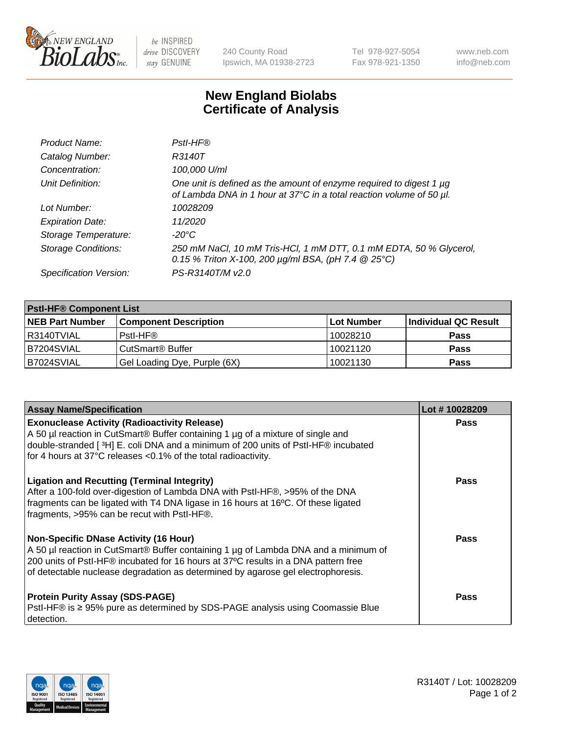

 $be$  INSPIRED drive DISCOVERY stay GENUINE

240 County Road Ipswich, MA 01938-2723 Tel 978-927-5054 Fax 978-921-1350 www.neb.com info@neb.com

## **New England Biolabs Certificate of Analysis**

| Product Name:              | Pstl-HF®                                                                                                                                             |
|----------------------------|------------------------------------------------------------------------------------------------------------------------------------------------------|
| Catalog Number:            | R3140T                                                                                                                                               |
| Concentration:             | 100,000 U/ml                                                                                                                                         |
| Unit Definition:           | One unit is defined as the amount of enzyme required to digest 1 µg<br>of Lambda DNA in 1 hour at 37°C in a total reaction volume of 50 µl.          |
| Lot Number:                | 10028209                                                                                                                                             |
| <b>Expiration Date:</b>    | 11/2020                                                                                                                                              |
| Storage Temperature:       | -20°C                                                                                                                                                |
| <b>Storage Conditions:</b> | 250 mM NaCl, 10 mM Tris-HCl, 1 mM DTT, 0.1 mM EDTA, 50 % Glycerol,<br>0.15 % Triton X-100, 200 $\mu$ g/ml BSA, (pH 7.4 $\textcircled{25}^{\circ}$ C) |
| Specification Version:     | PS-R3140T/M v2.0                                                                                                                                     |

| <b>Pstl-HF® Component List</b> |                              |            |                      |  |
|--------------------------------|------------------------------|------------|----------------------|--|
| <b>NEB Part Number</b>         | <b>Component Description</b> | Lot Number | Individual QC Result |  |
| R3140TVIAL                     | Pstl-HF®                     | 10028210   | <b>Pass</b>          |  |
| <b>B7204SVIAL</b>              | CutSmart <sup>®</sup> Buffer | 10021120   | <b>Pass</b>          |  |
| B7024SVIAL                     | Gel Loading Dye, Purple (6X) | 10021130   | <b>Pass</b>          |  |

| <b>Assay Name/Specification</b>                                                                                                                                                                                                                                                                               | Lot #10028209 |
|---------------------------------------------------------------------------------------------------------------------------------------------------------------------------------------------------------------------------------------------------------------------------------------------------------------|---------------|
| <b>Exonuclease Activity (Radioactivity Release)</b><br>A 50 µl reaction in CutSmart® Buffer containing 1 µg of a mixture of single and                                                                                                                                                                        | <b>Pass</b>   |
| double-stranded [3H] E. coli DNA and a minimum of 200 units of PstI-HF® incubated<br>for 4 hours at 37°C releases <0.1% of the total radioactivity.                                                                                                                                                           |               |
| <b>Ligation and Recutting (Terminal Integrity)</b><br>After a 100-fold over-digestion of Lambda DNA with PstI-HF®, >95% of the DNA<br>fragments can be ligated with T4 DNA ligase in 16 hours at 16°C. Of these ligated<br>fragments, >95% can be recut with PstI-HF®.                                        | Pass          |
| <b>Non-Specific DNase Activity (16 Hour)</b><br>A 50 µl reaction in CutSmart® Buffer containing 1 µg of Lambda DNA and a minimum of<br>200 units of PstI-HF® incubated for 16 hours at 37°C results in a DNA pattern free<br>of detectable nuclease degradation as determined by agarose gel electrophoresis. | <b>Pass</b>   |
| <b>Protein Purity Assay (SDS-PAGE)</b><br>PstI-HF® is ≥ 95% pure as determined by SDS-PAGE analysis using Coomassie Blue<br>I detection.                                                                                                                                                                      | Pass          |